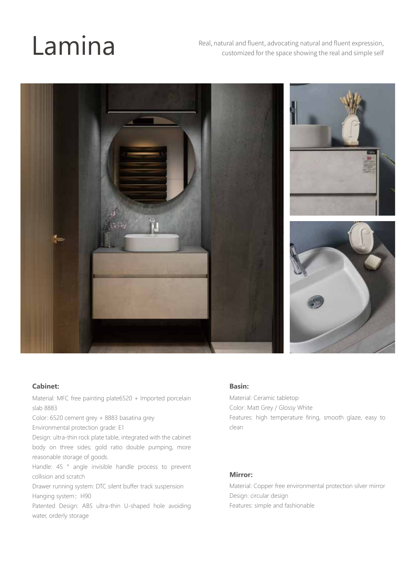**Lamina** Real, natural and fluent, advocating natural and fluent expression, customized for the space showing the real and simple self



#### **Cabinet:**

Material: MFC free painting plate6520 + Imported porcelain slab 8883

Color: 6520 cement grey + 8883 basatina grey

Environmental protection grade: E1

Design: ultra-thin rock plate table, integrated with the cabinet body on three sides; gold ratio double pumping, more reasonable storage of goods.

Handle: 45 ° angle invisible handle process to prevent collision and scratch

Drawer running system: DTC silent buffer track suspension Hanging system: H90

Patented Design: ABS ultra-thin U-shaped hole avoiding water, orderly storage

#### **Basin:**

Material: Ceramic tabletop Color: Matt Grey / Glossy White Features: high temperature firing, smooth glaze, easy to clean

#### **Mirror:**

Material: Copper free environmental protection silver mirror Design: circular design Features: simple and fashionable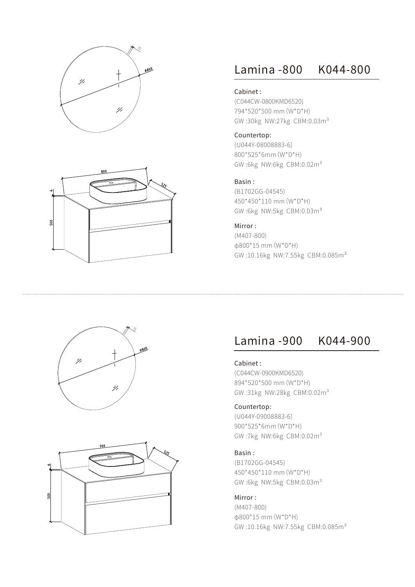



## Lamina -800 K044-800

#### Cabinet :

(C044CW-0800KMD6520) 794\*520\*500 mm(W\*D\*H) GW :30kg NW:27kg CBM:0.03m³

#### Countertop:

(U044Y-08008883-6) 800\*525\*6mm(W\*D\*H) GW :6kg NW:6kg CBM:0.02m³

#### Basin :

(B1702GG-04545) 450\*450\*110 mm(W\*D\*H) GW :6kg NW:5kg CBM:0.03m³

#### Mirror :

(M407-800) φ800\*15 mm(W\*D\*H) GW:10.16kg NW:7.55kg CBM:0.085m<sup>3</sup>

# 154800 41  $^{\prime\prime}$



### Lamina -900 K044-900

Cabinet :

(C044CW-0900KMD6520) 894\*520\*500 mm(W\*D\*H) GW :31kg NW:28kg CBM:0.02m³

#### Countertop:

(U044Y-09008883-6) 900\*525\*6mm(W\*D\*H) GW:7kg NW:6kg CBM:0.02m<sup>3</sup>

#### Basin :

(B1702GG-04545) 450\*450\*110 mm(W\*D\*H) GW:6kg NW:5kg CBM:0.03m<sup>3</sup>

#### Mirror :

(M407-800) φ800\*15 mm(W\*D\*H) GW:10.16kg NW:7.55kg CBM:0.085m<sup>3</sup>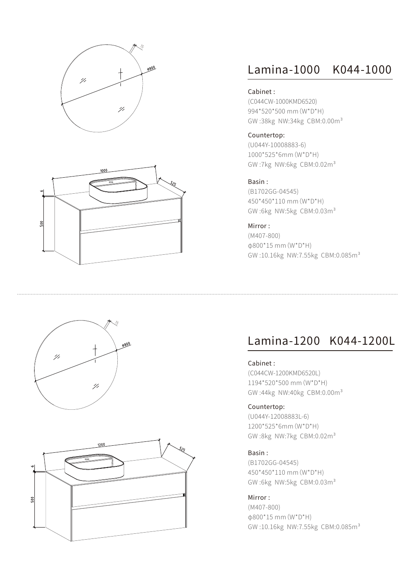



### Lamina-1000 K044-1000

#### Cabinet :

(C044CW-1000KMD6520) 994\*520\*500 mm(W\*D\*H) GW :38kg NW:34kg CBM:0.00m³

#### Countertop:

(U044Y-10008883-6) 1000\*525\*6mm(W\*D\*H) GW :7kg NW:6kg CBM:0.02m³

#### Basin :

(B1702GG-04545) 450\*450\*110 mm(W\*D\*H) GW :6kg NW:5kg CBM:0.03m³

### Mirror :

(M407-800) φ800\*15 mm(W\*D\*H) GW:10.16kg NW:7.55kg CBM:0.085m<sup>3</sup>





### Lamina-1200 K044-1200L

### Cabinet :

(C044CW-1200KMD6520L) 1194\*520\*500 mm(W\*D\*H) GW :44kg NW:40kg CBM:0.00m³

#### Countertop:

(U044Y-12008883L-6) 1200\*525\*6mm(W\*D\*H) GW:8kg NW:7kg CBM:0.02m<sup>3</sup>

#### Basin :

(B1702GG-04545) 450\*450\*110 mm(W\*D\*H) GW :6kg NW:5kg CBM:0.03m³

#### Mirror :

(M407-800) φ800\*15 mm(W\*D\*H) GW:10.16kg NW:7.55kg CBM:0.085m<sup>3</sup>